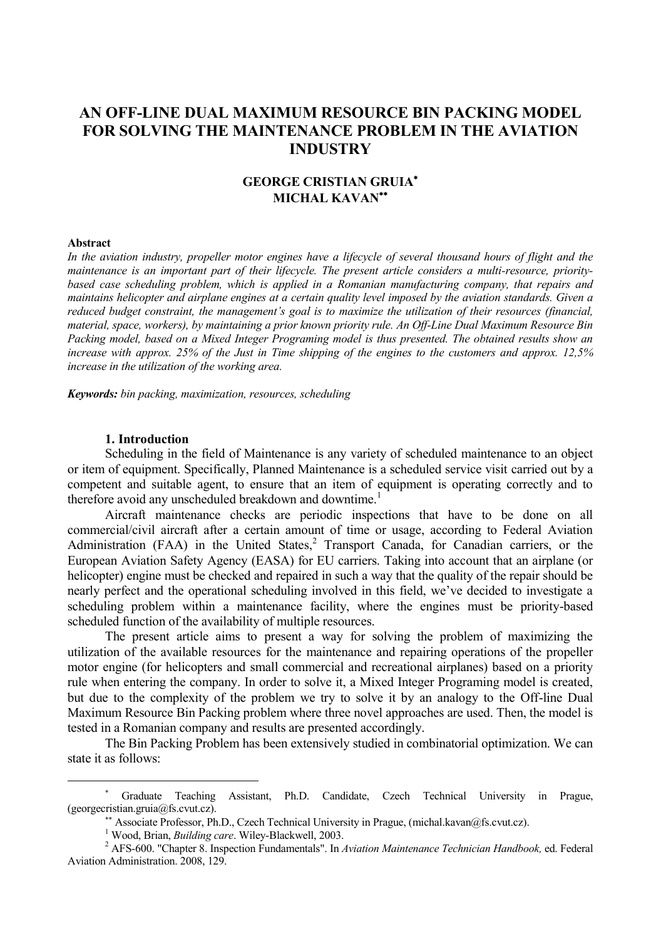# **AN OFF-LINE DUAL MAXIMUM RESOURCE BIN PACKING MODEL FOR SOLVING THE MAINTENANCE PROBLEM IN THE AVIATION INDUSTRY**

# **GEORGE CRISTIAN GRUIA MICHAL KAVAN**

#### **Abstract**

 $\overline{a}$ 

*In the aviation industry, propeller motor engines have a lifecycle of several thousand hours of flight and the maintenance is an important part of their lifecycle. The present article considers a multi-resource, prioritybased case scheduling problem, which is applied in a Romanian manufacturing company, that repairs and maintains helicopter and airplane engines at a certain quality level imposed by the aviation standards. Given a reduced budget constraint, the management's goal is to maximize the utilization of their resources (financial, material, space, workers), by maintaining a prior known priority rule. An Off-Line Dual Maximum Resource Bin Packing model, based on a Mixed Integer Programing model is thus presented. The obtained results show an increase with approx. 25% of the Just in Time shipping of the engines to the customers and approx. 12,5% increase in the utilization of the working area.*

*Keywords: bin packing, maximization, resources, scheduling*

### **1. Introduction**

Scheduling in the field of Maintenance is any variety of scheduled maintenance to an object or item of equipment. Specifically, Planned Maintenance is a scheduled service visit carried out by a competent and suitable agent, to ensure that an item of equipment is operating correctly and to therefore avoid any unscheduled breakdown and downtime.<sup>1</sup>

Aircraft maintenance checks are periodic inspections that have to be done on all commercial/civil aircraft after a certain amount of time or usage, according to Federal Aviation Administration (FAA) in the United States, ${}^{2}$  Transport Canada, for Canadian carriers, or the European Aviation Safety Agency (EASA) for EU carriers. Taking into account that an airplane (or helicopter) engine must be checked and repaired in such a way that the quality of the repair should be nearly perfect and the operational scheduling involved in this field, we've decided to investigate a scheduling problem within a maintenance facility, where the engines must be priority-based scheduled function of the availability of multiple resources.

The present article aims to present a way for solving the problem of maximizing the utilization of the available resources for the maintenance and repairing operations of the propeller motor engine (for helicopters and small commercial and recreational airplanes) based on a priority rule when entering the company. In order to solve it, a Mixed Integer Programing model is created, but due to the complexity of the problem we try to solve it by an analogy to the Off-line Dual Maximum Resource Bin Packing problem where three novel approaches are used. Then, the model is tested in a Romanian company and results are presented accordingly.

The Bin Packing Problem has been extensively studied in combinatorial optimization. We can state it as follows:

Graduate Teaching Assistant, Ph.D. Candidate, Czech Technical University in Prague, (georgecristian.gruia@fs.cvut.cz).

<sup>\*\*</sup> Associate Professor, Ph.D., Czech Technical University in Prague, (michal.kavan@fs.cvut.cz).

<sup>&</sup>lt;sup>1</sup> Wood, Brian, *Building care*. Wiley-Blackwell, 2003.

<sup>2</sup> AFS-600. "Chapter 8. Inspection Fundamentals". In *Aviation Maintenance Technician Handbook,* ed. Federal Aviation Administration. 2008, 129.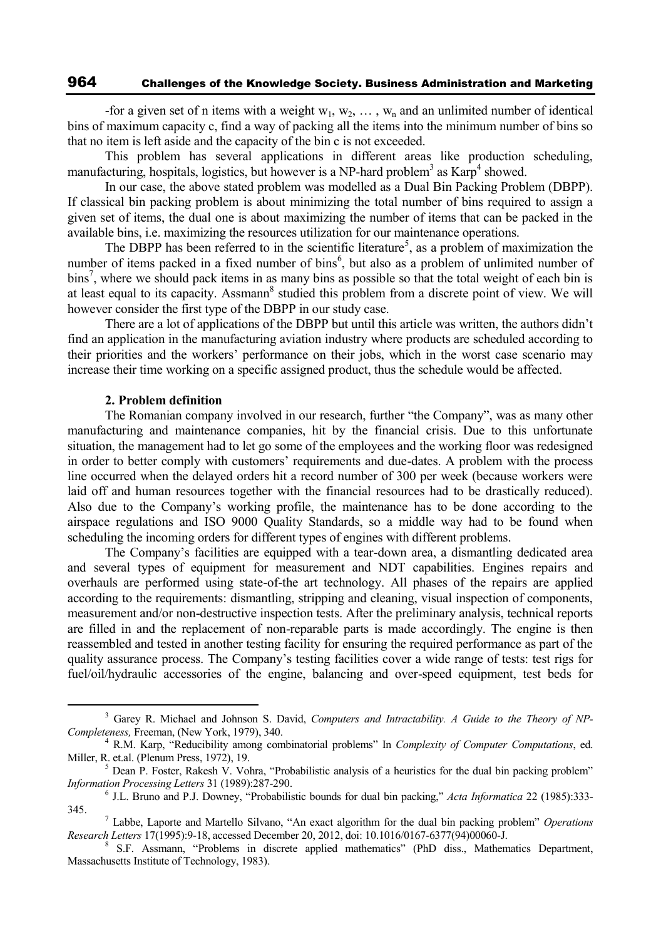## 964 Challenges of the Knowledge Society. Business Administration and Marketing

-for a given set of n items with a weight  $w_1, w_2, \ldots, w_n$  and an unlimited number of identical bins of maximum capacity c, find a way of packing all the items into the minimum number of bins so that no item is left aside and the capacity of the bin c is not exceeded.

This problem has several applications in different areas like production scheduling, manufacturing, hospitals, logistics, but however is a NP-hard problem<sup>3</sup> as Karp<sup>4</sup> showed.

In our case, the above stated problem was modelled as a Dual Bin Packing Problem (DBPP). If classical bin packing problem is about minimizing the total number of bins required to assign a given set of items, the dual one is about maximizing the number of items that can be packed in the available bins, i.e. maximizing the resources utilization for our maintenance operations.

The DBPP has been referred to in the scientific literature<sup>5</sup>, as a problem of maximization the number of items packed in a fixed number of bins<sup>6</sup>, but also as a problem of unlimited number of bins<sup>7</sup>, where we should pack items in as many bins as possible so that the total weight of each bin is at least equal to its capacity. Assmann<sup>8</sup> studied this problem from a discrete point of view. We will however consider the first type of the DBPP in our study case.

There are a lot of applications of the DBPP but until this article was written, the authors didn't find an application in the manufacturing aviation industry where products are scheduled according to their priorities and the workers' performance on their jobs, which in the worst case scenario may increase their time working on a specific assigned product, thus the schedule would be affected.

#### **2. Problem definition**

 $\overline{a}$ 

The Romanian company involved in our research, further "the Company", was as many other manufacturing and maintenance companies, hit by the financial crisis. Due to this unfortunate situation, the management had to let go some of the employees and the working floor was redesigned in order to better comply with customers' requirements and due-dates. A problem with the process line occurred when the delayed orders hit a record number of 300 per week (because workers were laid off and human resources together with the financial resources had to be drastically reduced). Also due to the Company's working profile, the maintenance has to be done according to the airspace regulations and ISO 9000 Quality Standards, so a middle way had to be found when scheduling the incoming orders for different types of engines with different problems.

The Company's facilities are equipped with a tear-down area, a dismantling dedicated area and several types of equipment for measurement and NDT capabilities. Engines repairs and overhauls are performed using state-of-the art technology. All phases of the repairs are applied according to the requirements: dismantling, stripping and cleaning, visual inspection of components, measurement and/or non-destructive inspection tests. After the preliminary analysis, technical reports are filled in and the replacement of non-reparable parts is made accordingly. The engine is then reassembled and tested in another testing facility for ensuring the required performance as part of the quality assurance process. The Company's testing facilities cover a wide range of tests: test rigs for fuel/oil/hydraulic accessories of the engine, balancing and over-speed equipment, test beds for

<sup>3</sup> Garey R. Michael and Johnson S. David, *Computers and Intractability. A Guide to the Theory of NP-Completeness,* Freeman, (New York, 1979), 340.

<sup>4</sup> R.M. Karp, "Reducibility among combinatorial problems" In *Complexity of Computer Computations*, ed. Miller, R. et.al. (Plenum Press, 1972), 19.

<sup>5</sup> Dean P. Foster, Rakesh V. Vohra, "Probabilistic analysis of a heuristics for the dual bin packing problem" *Information Processing Letters* 31 (1989):287-290.

<sup>6</sup> J.L. Bruno and P.J. Downey, "Probabilistic bounds for dual bin packing," *Acta Informatica* 22 (1985):333- 345.

<sup>7</sup> Labbe, Laporte and Martello Silvano, "An exact algorithm for the dual bin packing problem" *Operations Research Letters* 17(1995):9-18, accessed December 20, 2012, doi: 10.1016/0167-6377(94)00060-J.

<sup>8</sup> S.F. Assmann, "Problems in discrete applied mathematics" (PhD diss., Mathematics Department, Massachusetts Institute of Technology, 1983).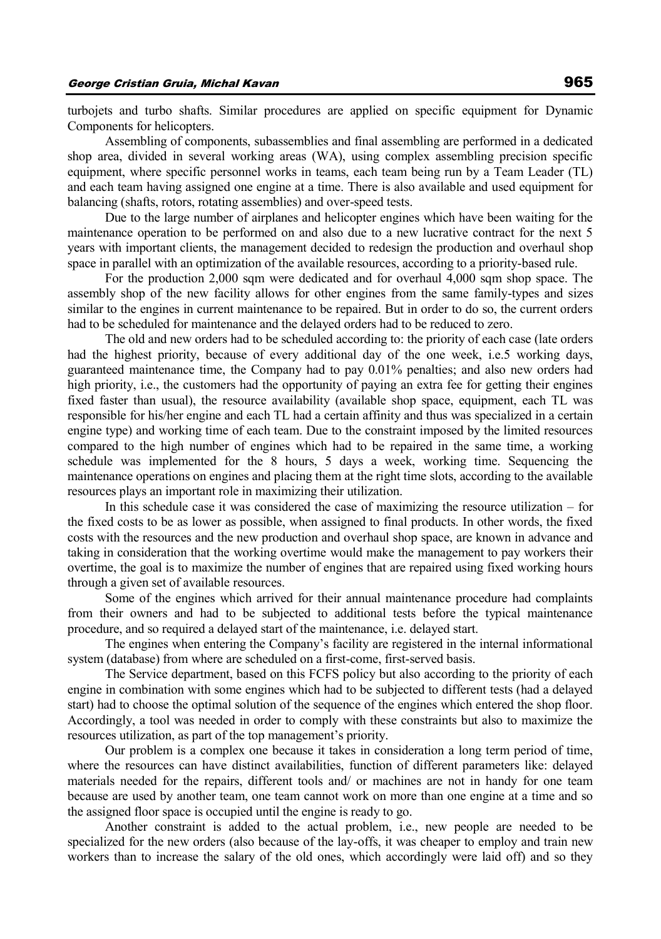turbojets and turbo shafts. Similar procedures are applied on specific equipment for Dynamic Components for helicopters.

Assembling of components, subassemblies and final assembling are performed in a dedicated shop area, divided in several working areas (WA), using complex assembling precision specific equipment, where specific personnel works in teams, each team being run by a Team Leader (TL) and each team having assigned one engine at a time. There is also available and used equipment for balancing (shafts, rotors, rotating assemblies) and over-speed tests.

Due to the large number of airplanes and helicopter engines which have been waiting for the maintenance operation to be performed on and also due to a new lucrative contract for the next 5 years with important clients, the management decided to redesign the production and overhaul shop space in parallel with an optimization of the available resources, according to a priority-based rule.

For the production 2,000 sqm were dedicated and for overhaul 4,000 sqm shop space. The assembly shop of the new facility allows for other engines from the same family-types and sizes similar to the engines in current maintenance to be repaired. But in order to do so, the current orders had to be scheduled for maintenance and the delayed orders had to be reduced to zero.

The old and new orders had to be scheduled according to: the priority of each case (late orders had the highest priority, because of every additional day of the one week, i.e.5 working days, guaranteed maintenance time, the Company had to pay 0.01% penalties; and also new orders had high priority, i.e., the customers had the opportunity of paying an extra fee for getting their engines fixed faster than usual), the resource availability (available shop space, equipment, each TL was responsible for his/her engine and each TL had a certain affinity and thus was specialized in a certain engine type) and working time of each team. Due to the constraint imposed by the limited resources compared to the high number of engines which had to be repaired in the same time, a working schedule was implemented for the 8 hours, 5 days a week, working time. Sequencing the maintenance operations on engines and placing them at the right time slots, according to the available resources plays an important role in maximizing their utilization.

In this schedule case it was considered the case of maximizing the resource utilization – for the fixed costs to be as lower as possible, when assigned to final products. In other words, the fixed costs with the resources and the new production and overhaul shop space, are known in advance and taking in consideration that the working overtime would make the management to pay workers their overtime, the goal is to maximize the number of engines that are repaired using fixed working hours through a given set of available resources.

Some of the engines which arrived for their annual maintenance procedure had complaints from their owners and had to be subjected to additional tests before the typical maintenance procedure, and so required a delayed start of the maintenance, i.e. delayed start.

The engines when entering the Company's facility are registered in the internal informational system (database) from where are scheduled on a first-come, first-served basis.

The Service department, based on this FCFS policy but also according to the priority of each engine in combination with some engines which had to be subjected to different tests (had a delayed start) had to choose the optimal solution of the sequence of the engines which entered the shop floor. Accordingly, a tool was needed in order to comply with these constraints but also to maximize the resources utilization, as part of the top management's priority.

Our problem is a complex one because it takes in consideration a long term period of time, where the resources can have distinct availabilities, function of different parameters like: delayed materials needed for the repairs, different tools and/ or machines are not in handy for one team because are used by another team, one team cannot work on more than one engine at a time and so the assigned floor space is occupied until the engine is ready to go.

Another constraint is added to the actual problem, i.e., new people are needed to be specialized for the new orders (also because of the lay-offs, it was cheaper to employ and train new workers than to increase the salary of the old ones, which accordingly were laid off) and so they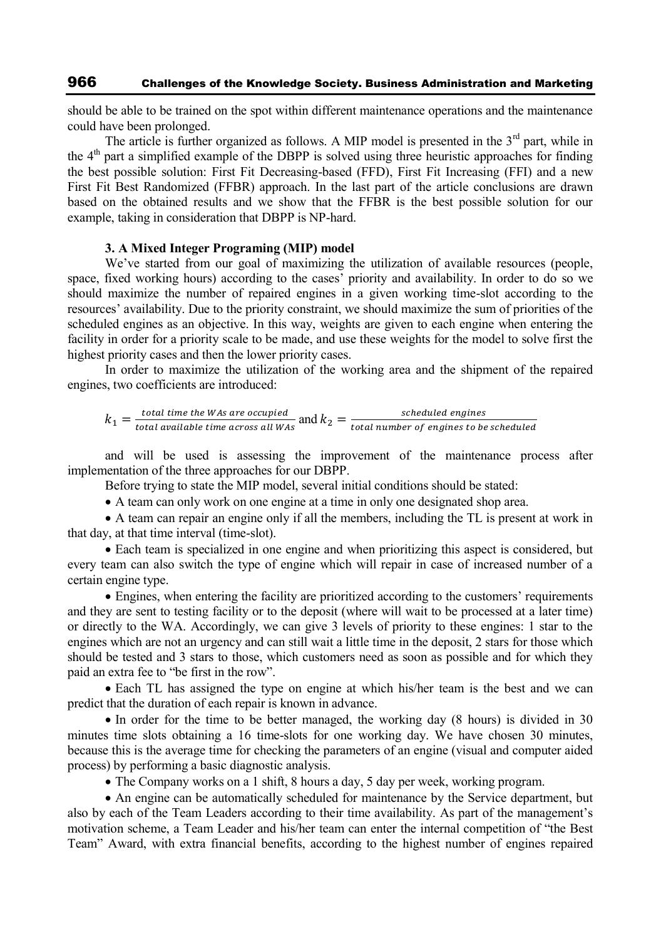should be able to be trained on the spot within different maintenance operations and the maintenance could have been prolonged.

The article is further organized as follows. A MIP model is presented in the  $3<sup>rd</sup>$  part, while in the 4<sup>th</sup> part a simplified example of the DBPP is solved using three heuristic approaches for finding the best possible solution: First Fit Decreasing-based (FFD), First Fit Increasing (FFI) and a new First Fit Best Randomized (FFBR) approach. In the last part of the article conclusions are drawn based on the obtained results and we show that the FFBR is the best possible solution for our example, taking in consideration that DBPP is NP-hard.

#### **3. A Mixed Integer Programing (MIP) model**

We've started from our goal of maximizing the utilization of available resources (people, space, fixed working hours) according to the cases' priority and availability. In order to do so we should maximize the number of repaired engines in a given working time-slot according to the resources' availability. Due to the priority constraint, we should maximize the sum of priorities of the scheduled engines as an objective. In this way, weights are given to each engine when entering the facility in order for a priority scale to be made, and use these weights for the model to solve first the highest priority cases and then the lower priority cases.

In order to maximize the utilization of the working area and the shipment of the repaired engines, two coefficients are introduced:

 $k_1 = \frac{t}{t_2}$ \_total time the WAs are occupied<br>total available time across all WAs and  $k_2 = \frac{s}{total\ number}$ t

and will be used is assessing the improvement of the maintenance process after implementation of the three approaches for our DBPP.

Before trying to state the MIP model, several initial conditions should be stated:

A team can only work on one engine at a time in only one designated shop area.

 A team can repair an engine only if all the members, including the TL is present at work in that day, at that time interval (time-slot).

 Each team is specialized in one engine and when prioritizing this aspect is considered, but every team can also switch the type of engine which will repair in case of increased number of a certain engine type.

 Engines, when entering the facility are prioritized according to the customers' requirements and they are sent to testing facility or to the deposit (where will wait to be processed at a later time) or directly to the WA. Accordingly, we can give 3 levels of priority to these engines: 1 star to the engines which are not an urgency and can still wait a little time in the deposit, 2 stars for those which should be tested and 3 stars to those, which customers need as soon as possible and for which they paid an extra fee to "be first in the row".

 Each TL has assigned the type on engine at which his/her team is the best and we can predict that the duration of each repair is known in advance.

• In order for the time to be better managed, the working day (8 hours) is divided in 30 minutes time slots obtaining a 16 time-slots for one working day. We have chosen 30 minutes, because this is the average time for checking the parameters of an engine (visual and computer aided process) by performing a basic diagnostic analysis.

• The Company works on a 1 shift, 8 hours a day, 5 day per week, working program.

 An engine can be automatically scheduled for maintenance by the Service department, but also by each of the Team Leaders according to their time availability. As part of the management's motivation scheme, a Team Leader and his/her team can enter the internal competition of "the Best Team" Award, with extra financial benefits, according to the highest number of engines repaired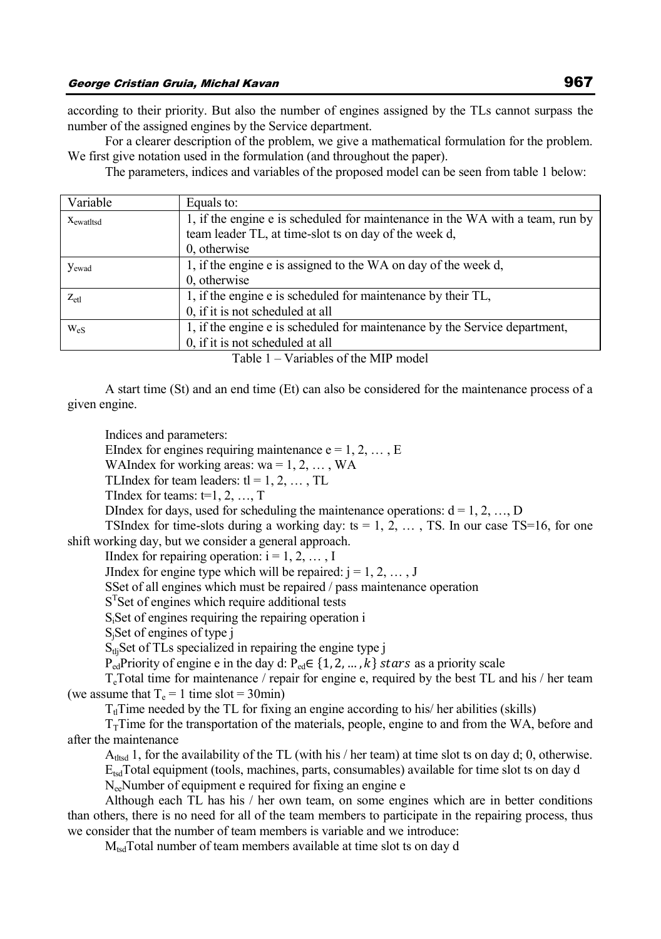according to their priority. But also the number of engines assigned by the TLs cannot surpass the number of the assigned engines by the Service department.

For a clearer description of the problem, we give a mathematical formulation for the problem. We first give notation used in the formulation (and throughout the paper).

The parameters, indices and variables of the proposed model can be seen from table 1 below:

| Equals to:                                                                    |
|-------------------------------------------------------------------------------|
| 1, if the engine e is scheduled for maintenance in the WA with a team, run by |
| team leader TL, at time-slot ts on day of the week d,                         |
| 0, otherwise                                                                  |
| 1, if the engine e is assigned to the WA on day of the week d,                |
| 0, otherwise                                                                  |
| 1, if the engine e is scheduled for maintenance by their TL,                  |
| 0, if it is not scheduled at all                                              |
| 1, if the engine e is scheduled for maintenance by the Service department,    |
| 0, if it is not scheduled at all                                              |
|                                                                               |

Table 1 – Variables of the MIP model

A start time (St) and an end time (Et) can also be considered for the maintenance process of a given engine.

Indices and parameters:

EIndex for engines requiring maintenance  $e = 1, 2, \dots, E$ 

WAIndex for working areas:  $wa = 1, 2, \ldots, WA$ 

TLIndex for team leaders:  $tl = 1, 2, ..., TL$ 

TIndex for teams:  $t=1, 2, ..., T$ 

DIndex for days, used for scheduling the maintenance operations:  $d = 1, 2, ..., D$ 

TSIndex for time-slots during a working day: ts =  $1, 2, \ldots$ , TS. In our case TS=16, for one shift working day, but we consider a general approach.

IIndex for repairing operation:  $i = 1, 2, \ldots, I$ 

JIndex for engine type which will be repaired:  $j = 1, 2, \ldots, J$ 

SSet of all engines which must be repaired / pass maintenance operation

S<sup>T</sup>Set of engines which require additional tests

SiSet of engines requiring the repairing operation i

S<sub>i</sub>Set of engines of type j

 $S<sub>th</sub>$ Set of TLs specialized in repairing the engine type j

 $P_{\text{ed}}$ Priority of engine e in the day d:  $P_{\text{ed}} \in \{1, 2, ..., k\}$  stars as a priority scale

 $T_c$ Total time for maintenance / repair for engine e, required by the best TL and his / her team (we assume that  $T_e = 1$  time slot = 30min)

 $T<sub>tl</sub>$ Time needed by the TL for fixing an engine according to his/ her abilities (skills)

 $T<sub>T</sub>$ Time for the transportation of the materials, people, engine to and from the WA, before and after the maintenance

 $A<sub>t</sub>$  and 1, for the availability of the TL (with his / her team) at time slot ts on day d; 0, otherwise.

 $E_{\text{tsd}}$ Total equipment (tools, machines, parts, consumables) available for time slot ts on day d NeeNumber of equipment e required for fixing an engine e

Although each TL has his / her own team, on some engines which are in better conditions than others, there is no need for all of the team members to participate in the repairing process, thus we consider that the number of team members is variable and we introduce:

 $M_{\text{tsd}}$ Total number of team members available at time slot ts on day d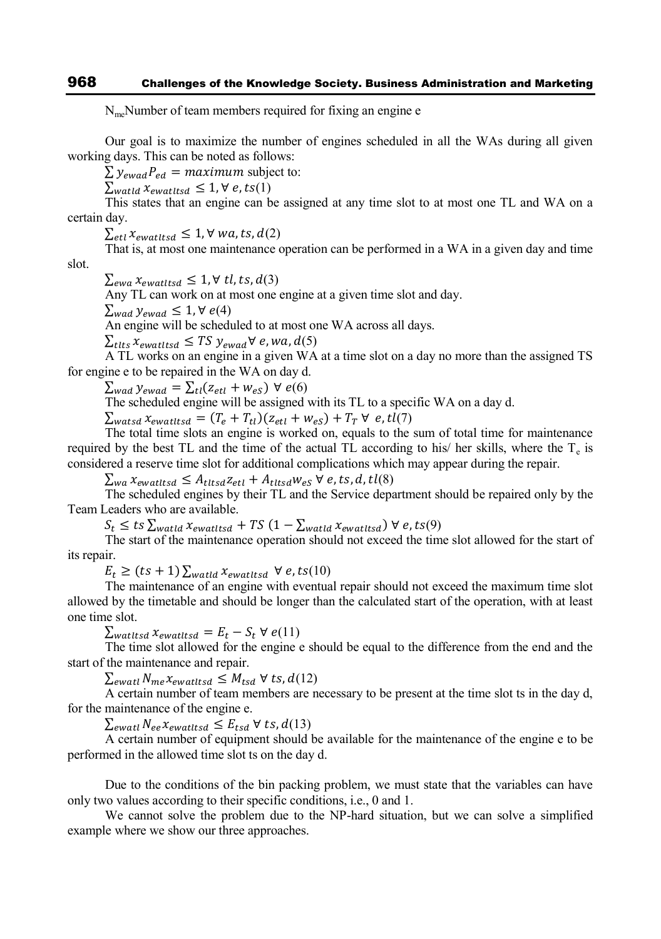NmeNumber of team members required for fixing an engine e

Our goal is to maximize the number of engines scheduled in all the WAs during all given working days. This can be noted as follows:

 $\sum y_{ewad} P_{ed} =$  maximum subject to:

 $\sum_{\text{watld}} x_{\text{ewatitsd}} \leq 1, \forall e, ts(1)$ 

This states that an engine can be assigned at any time slot to at most one TL and WA on a certain day.

 $\sum_{i \in \mathcal{U}} x_{ewatitsd} \leq 1, \forall wa, ts, d(2)$ 

That is, at most one maintenance operation can be performed in a WA in a given day and time slot.

 $\sum_{ewa} x_{ewatitsd} \leq 1, \forall$  tl, ts,  $d(3)$ 

Any TL can work on at most one engine at a given time slot and day.

 $\sum_{wad}$   $y_{ewad} \leq 1$ ,  $\forall$   $e(4)$ 

An engine will be scheduled to at most one WA across all days.

 $\sum_{t$ tts  $x_{ewat}$ ttsd  $\leq TS$   $y_{ewad}$  $\forall e, wa, d(5)$ 

A TL works on an engine in a given WA at a time slot on a day no more than the assigned TS for engine e to be repaired in the WA on day d.

 $\sum_{wad} y_{ewad} = \sum_{tl} (z_{etl} + w_{es}) \ \forall \ e(6)$ 

The scheduled engine will be assigned with its TL to a specific WA on a day d.

 $\sum_{watsd} x_{ewatitsd} = (T_e + T_{tl})(z_{etl} + w_{eS}) + T_T \forall e, tl(7)$ 

The total time slots an engine is worked on, equals to the sum of total time for maintenance required by the best TL and the time of the actual TL according to his/ her skills, where the  $T_e$  is considered a reserve time slot for additional complications which may appear during the repair.

 $\sum_{wa} x_{ewatttsd} \leq A_{tttsd} z_{etl} + A_{tttsd} w_{eS}$   $\forall$   $e, ts, d, tl(8)$ 

The scheduled engines by their TL and the Service department should be repaired only by the Team Leaders who are available.

 $S_t \leq ts \sum_{watld} x_{ewatltsd} + TS (1 - \sum_{watld} x_{ewatltsd}) \forall e, ts(9)$ 

The start of the maintenance operation should not exceed the time slot allowed for the start of its repair.

 $E_t \ge (ts + 1) \sum_{\text{watld}} x_{\text{ewatltsd}} \ \forall \ e, ts(10)$ 

The maintenance of an engine with eventual repair should not exceed the maximum time slot allowed by the timetable and should be longer than the calculated start of the operation, with at least one time slot.

 $\sum_{watttsd} x_{ewatttsd} = E_t - S_t \ \forall \ e(11)$ 

The time slot allowed for the engine e should be equal to the difference from the end and the start of the maintenance and repair.

 $\sum_{\text{ewatt}} N_{\text{me}} x_{\text{ewatttsd}} \leq M_{\text{tsd}} \,\forall \text{ts}, d(12)$ 

A certain number of team members are necessary to be present at the time slot ts in the day d, for the maintenance of the engine e.

 $\sum_{\text{ewatt}}$   $N_{ee}x_{\text{ewatttsd}} \leq E_{tsd} \ \forall \ ts, d(13)$ 

A certain number of equipment should be available for the maintenance of the engine e to be performed in the allowed time slot ts on the day d.

Due to the conditions of the bin packing problem, we must state that the variables can have only two values according to their specific conditions, i.e., 0 and 1.

We cannot solve the problem due to the NP-hard situation, but we can solve a simplified example where we show our three approaches.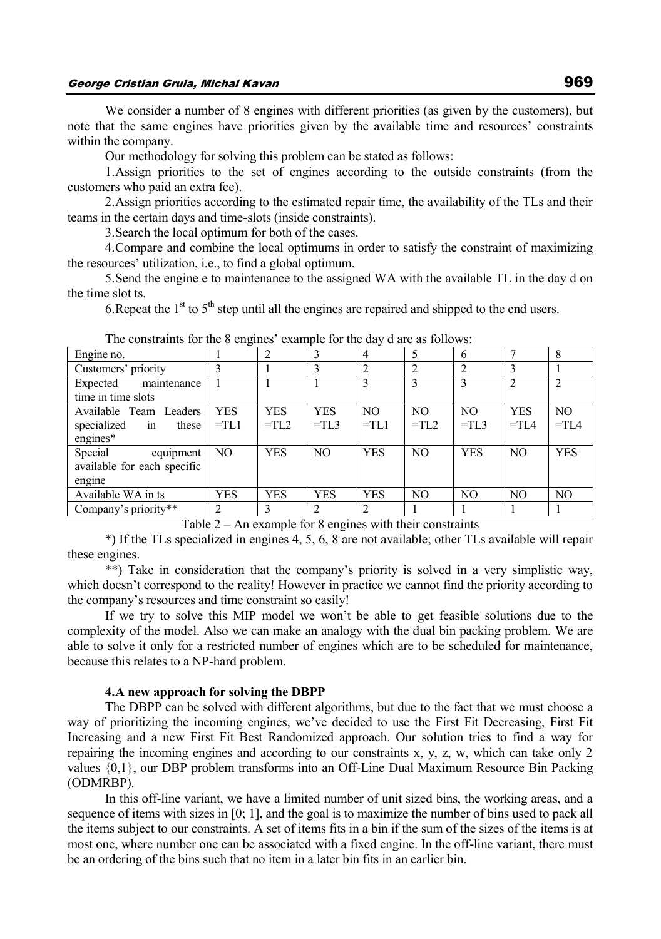We consider a number of 8 engines with different priorities (as given by the customers), but note that the same engines have priorities given by the available time and resources' constraints within the company.

Our methodology for solving this problem can be stated as follows:

1.Assign priorities to the set of engines according to the outside constraints (from the customers who paid an extra fee).

2.Assign priorities according to the estimated repair time, the availability of the TLs and their teams in the certain days and time-slots (inside constraints).

3.Search the local optimum for both of the cases.

4.Compare and combine the local optimums in order to satisfy the constraint of maximizing the resources' utilization, i.e., to find a global optimum.

5.Send the engine e to maintenance to the assigned WA with the available TL in the day d on the time slot ts.

6. Repeat the  $1<sup>st</sup>$  to  $5<sup>th</sup>$  step until all the engines are repaired and shipped to the end users.

| Engine no.                  |            |            |                | 4              |                 | 6              |            |                |
|-----------------------------|------------|------------|----------------|----------------|-----------------|----------------|------------|----------------|
| Customers' priority         |            |            |                | 2              |                 | 2              |            |                |
| Expected<br>maintenance     |            |            |                | 3              |                 |                |            |                |
| time in time slots          |            |            |                |                |                 |                |            |                |
| Available Team Leaders      | <b>YES</b> | <b>YES</b> | <b>YES</b>     | N <sub>O</sub> | N <sub>O</sub>  | N <sub>O</sub> | <b>YES</b> | N <sub>O</sub> |
| specialized<br>these<br>in  | $=$ TL1    | $=TL2$     | $=$ TL3        | $=TL1$         | $=$ TI $\alpha$ | $=TL3$         | $=$ TIA    | $=TIA$         |
| engines*                    |            |            |                |                |                 |                |            |                |
| Special<br>equipment        | NO.        | <b>YES</b> | N <sub>O</sub> | <b>YES</b>     | N <sub>O</sub>  | <b>YES</b>     | NO         | <b>YES</b>     |
| available for each specific |            |            |                |                |                 |                |            |                |
| engine                      |            |            |                |                |                 |                |            |                |
| Available WA in ts          | <b>YES</b> | <b>YES</b> | <b>YES</b>     | <b>YES</b>     | NO              | N <sub>O</sub> | NO         | NO             |
| Company's priority**        | 2          | 3          | 2              | 2              |                 |                |            |                |

The constraints for the 8 engines' example for the day d are as follows:

Table 2 – An example for 8 engines with their constraints

\*) If the TLs specialized in engines 4, 5, 6, 8 are not available; other TLs available will repair these engines.

\*\*) Take in consideration that the company's priority is solved in a very simplistic way, which doesn't correspond to the reality! However in practice we cannot find the priority according to the company's resources and time constraint so easily!

If we try to solve this MIP model we won't be able to get feasible solutions due to the complexity of the model. Also we can make an analogy with the dual bin packing problem. We are able to solve it only for a restricted number of engines which are to be scheduled for maintenance, because this relates to a NP-hard problem.

### **4.A new approach for solving the DBPP**

The DBPP can be solved with different algorithms, but due to the fact that we must choose a way of prioritizing the incoming engines, we've decided to use the First Fit Decreasing, First Fit Increasing and a new First Fit Best Randomized approach. Our solution tries to find a way for repairing the incoming engines and according to our constraints x, y, z, w, which can take only 2 values {0,1}, our DBP problem transforms into an Off-Line Dual Maximum Resource Bin Packing (ODMRBP).

In this off-line variant, we have a limited number of unit sized bins, the working areas, and a sequence of items with sizes in [0; 1], and the goal is to maximize the number of bins used to pack all the items subject to our constraints. A set of items fits in a bin if the sum of the sizes of the items is at most one, where number one can be associated with a fixed engine. In the off-line variant, there must be an ordering of the bins such that no item in a later bin fits in an earlier bin.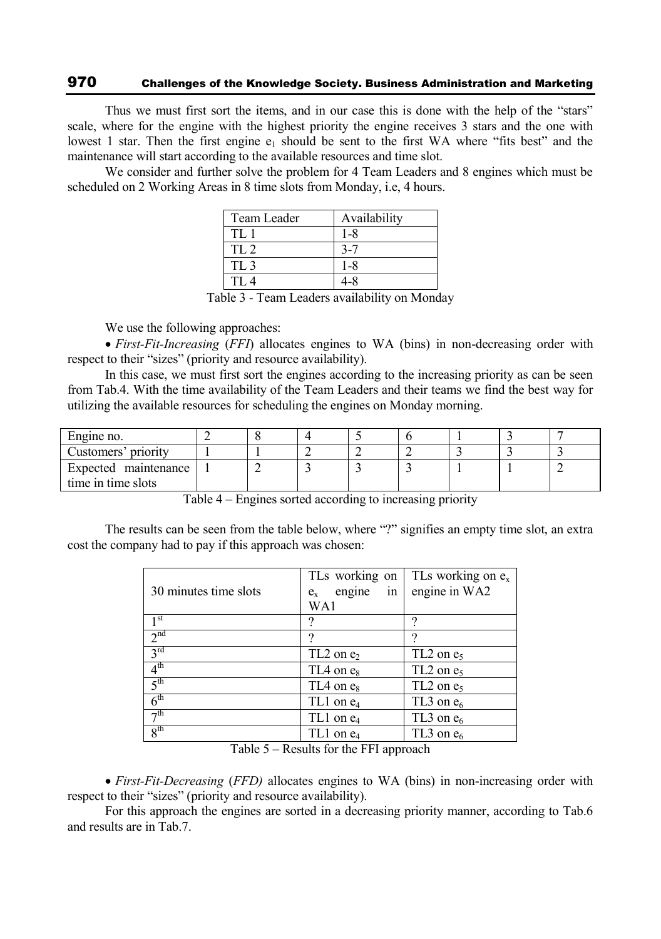# 970 Challenges of the Knowledge Society. Business Administration and Marketing

Thus we must first sort the items, and in our case this is done with the help of the "stars" scale, where for the engine with the highest priority the engine receives 3 stars and the one with lowest 1 star. Then the first engine  $e_1$  should be sent to the first WA where "fits best" and the maintenance will start according to the available resources and time slot.

We consider and further solve the problem for 4 Team Leaders and 8 engines which must be scheduled on 2 Working Areas in 8 time slots from Monday, i.e, 4 hours.

| Team Leader     | Availability |
|-----------------|--------------|
| TL1             | 1-8          |
| TI.2            |              |
| TL <sub>3</sub> | 1-8          |
| TI.4            |              |

Table 3 - Team Leaders availability on Monday

We use the following approaches:

 *First-Fit-Increasing* (*FFI*) allocates engines to WA (bins) in non-decreasing order with respect to their "sizes" (priority and resource availability).

In this case, we must first sort the engines according to the increasing priority as can be seen from Tab.4. With the time availability of the Team Leaders and their teams we find the best way for utilizing the available resources for scheduling the engines on Monday morning.

| Engine no.           |  |  |  |  |
|----------------------|--|--|--|--|
| Customers' priority  |  |  |  |  |
| Expected maintenance |  |  |  |  |
| time in time slots   |  |  |  |  |

Table 4 – Engines sorted according to increasing priority

The results can be seen from the table below, where "?" signifies an empty time slot, an extra cost the company had to pay if this approach was chosen:

| 30 minutes time slots | TLs working on<br>engine<br>in<br>$e_{x}$<br>WA1 | TLs working on $e_x$<br>engine in WA2 |
|-----------------------|--------------------------------------------------|---------------------------------------|
| 1 <sup>st</sup>       | ິ                                                | റ                                     |
| 2 <sup>nd</sup>       | ິ                                                | ີ                                     |
| $3^{\text{rd}}$       | $TL2$ on $e_2$                                   | $TL2$ on $e_5$                        |
| 4 <sup>th</sup>       | $TL4$ on $e_8$                                   | $TL2$ on $e_5$                        |
| 5 <sup>th</sup>       | $TL4$ on $e_8$                                   | $TL2$ on $e_5$                        |
| 6 <sup>th</sup>       | $TL1$ on $e_4$                                   | TL3 on $e_6$                          |
| $\neg$ th             | TL1 on e <sub>4</sub>                            | TL3 on $e_6$                          |
| 8 <sup>th</sup>       | $TL1$ on $e_4$                                   | TL3 on $e_6$                          |

Table 5 – Results for the FFI approach

 *First-Fit-Decreasing* (*FFD)* allocates engines to WA (bins) in non-increasing order with respect to their "sizes" (priority and resource availability).

For this approach the engines are sorted in a decreasing priority manner, according to Tab.6 and results are in Tab.7.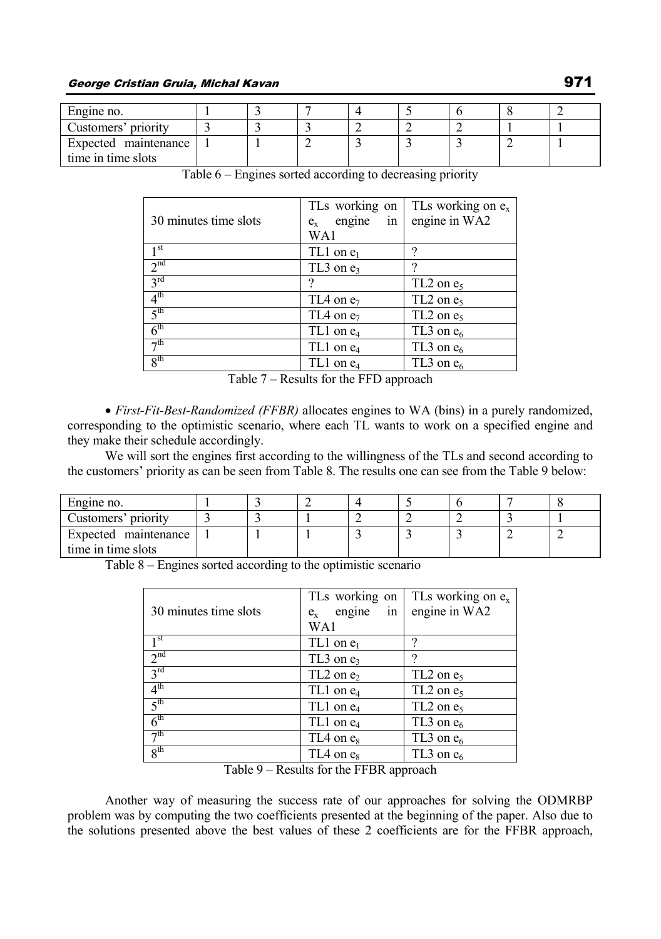| Engine no.           |  |  |  |  |
|----------------------|--|--|--|--|
| Customers' priority  |  |  |  |  |
| Expected maintenance |  |  |  |  |
| time in time slots   |  |  |  |  |

| 30 minutes time slots | TLs working on<br>engine<br>in<br>$e_{x}$<br>WA1 | TLs working on $e_x$<br>engine in WA2 |
|-----------------------|--------------------------------------------------|---------------------------------------|
| 1 <sup>st</sup>       | $TL1$ on $e_1$                                   | າ                                     |
| 2 <sup>nd</sup>       | $TL3$ on $e_3$                                   |                                       |
| 3 <sup>rd</sup>       |                                                  | $TL2$ on $e_5$                        |
| 4 <sup>th</sup>       | $TL4$ on $e_7$                                   | $TL2$ on $e_5$                        |
| 5 <sup>th</sup>       | $TL4$ on $e_7$                                   | $TL2$ on $e_5$                        |
| 6 <sup>th</sup>       | TL1 on e <sub>4</sub>                            | TL3 on $e_6$                          |
| $\neg$ th             | $TL1$ on $e_4$                                   | TL3 on $e_6$                          |
| 8 <sup>th</sup>       | $TL1$ on $e_4$                                   | TL3 on $e_6$                          |

Table 6 – Engines sorted according to decreasing priority

Table 7 – Results for the FFD approach

 *First-Fit-Best-Randomized (FFBR)* allocates engines to WA (bins) in a purely randomized, corresponding to the optimistic scenario, where each TL wants to work on a specified engine and they make their schedule accordingly.

We will sort the engines first according to the willingness of the TLs and second according to the customers' priority as can be seen from Table 8. The results one can see from the Table 9 below:

| Engine no.           |  |  |   |   |  |
|----------------------|--|--|---|---|--|
| Customers' priority  |  |  | - |   |  |
| Expected maintenance |  |  |   | ∸ |  |
| time in time slots   |  |  |   |   |  |

Table 8 – Engines sorted according to the optimistic scenario

| 30 minutes time slots | TLs working on<br>engine<br>in<br>$e_{v}$<br>WA1 | TLs working on $e_x$<br>engine in WA2 |
|-----------------------|--------------------------------------------------|---------------------------------------|
| 1 <sup>st</sup>       | $TL1$ on $e_1$                                   | າ                                     |
| 2 <sup>nd</sup>       | $TL3$ on $e_3$                                   |                                       |
| 3 <sup>rd</sup>       | $TL2$ on $e_2$                                   | $TL2$ on $e_5$                        |
| 4 <sup>th</sup>       | $TL1$ on $e_4$                                   | $TL2$ on $e_5$                        |
| 5 <sup>th</sup>       | $TL1$ on $e_4$                                   | $TL2$ on $e_5$                        |
| 6 <sup>th</sup>       | $TL1$ on $e_4$                                   | TL3 on $e_6$                          |
| 7 <sup>th</sup>       | $TL4$ on $e_8$                                   | TL3 on $e_6$                          |
| 8 <sup>th</sup>       | $TL4$ on $e_8$                                   | TL3 on $e_6$                          |

Table 9 – Results for the FFBR approach

Another way of measuring the success rate of our approaches for solving the ODMRBP problem was by computing the two coefficients presented at the beginning of the paper. Also due to the solutions presented above the best values of these 2 coefficients are for the FFBR approach,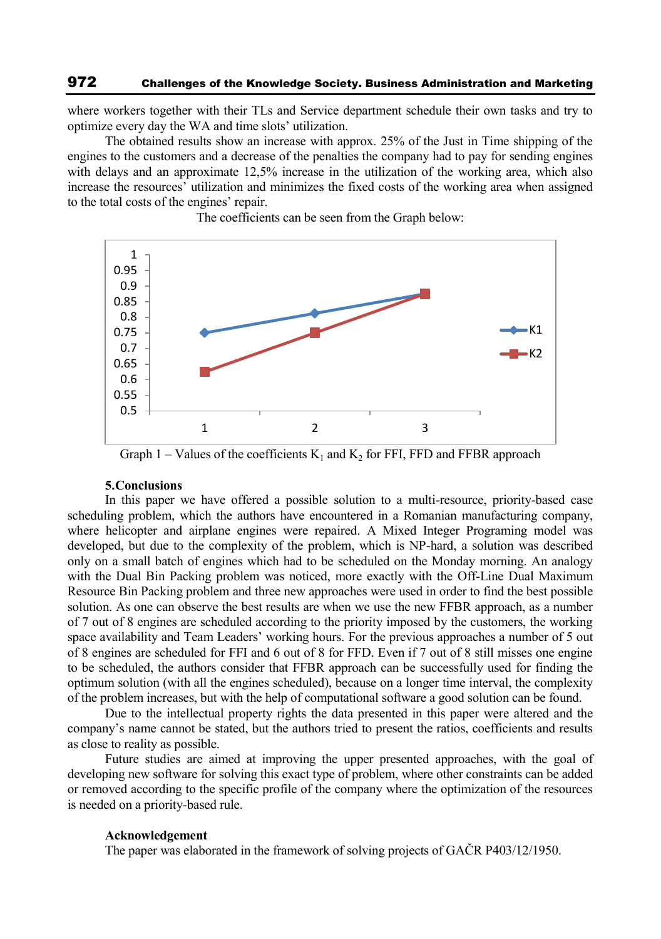where workers together with their TLs and Service department schedule their own tasks and try to optimize every day the WA and time slots' utilization.

The obtained results show an increase with approx. 25% of the Just in Time shipping of the engines to the customers and a decrease of the penalties the company had to pay for sending engines with delays and an approximate 12,5% increase in the utilization of the working area, which also increase the resources' utilization and minimizes the fixed costs of the working area when assigned to the total costs of the engines' repair.



The coefficients can be seen from the Graph below:

Graph 1 – Values of the coefficients  $K_1$  and  $K_2$  for FFI, FFD and FFBR approach

### **5.Conclusions**

In this paper we have offered a possible solution to a multi-resource, priority-based case scheduling problem, which the authors have encountered in a Romanian manufacturing company, where helicopter and airplane engines were repaired. A Mixed Integer Programing model was developed, but due to the complexity of the problem, which is NP-hard, a solution was described only on a small batch of engines which had to be scheduled on the Monday morning. An analogy with the Dual Bin Packing problem was noticed, more exactly with the Off-Line Dual Maximum Resource Bin Packing problem and three new approaches were used in order to find the best possible solution. As one can observe the best results are when we use the new FFBR approach, as a number of 7 out of 8 engines are scheduled according to the priority imposed by the customers, the working space availability and Team Leaders' working hours. For the previous approaches a number of 5 out of 8 engines are scheduled for FFI and 6 out of 8 for FFD. Even if 7 out of 8 still misses one engine to be scheduled, the authors consider that FFBR approach can be successfully used for finding the optimum solution (with all the engines scheduled), because on a longer time interval, the complexity of the problem increases, but with the help of computational software a good solution can be found.

Due to the intellectual property rights the data presented in this paper were altered and the company's name cannot be stated, but the authors tried to present the ratios, coefficients and results as close to reality as possible.

Future studies are aimed at improving the upper presented approaches, with the goal of developing new software for solving this exact type of problem, where other constraints can be added or removed according to the specific profile of the company where the optimization of the resources is needed on a priority-based rule.

#### **Acknowledgement**

The paper was elaborated in the framework of solving projects of GAČR P403/12/1950.